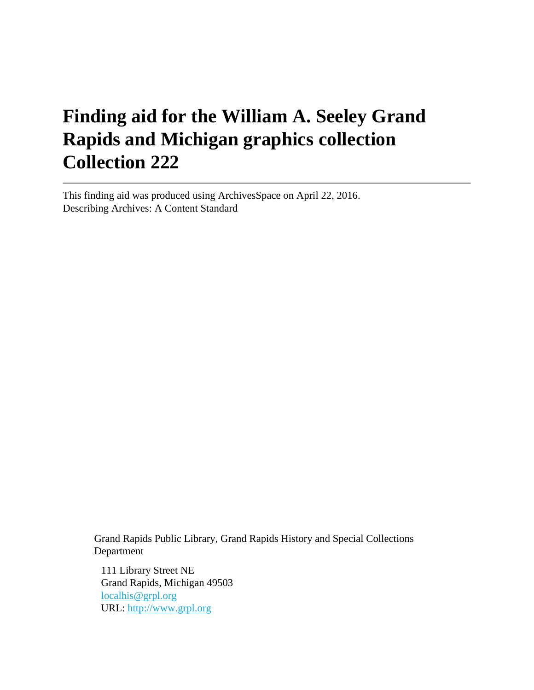# **Finding aid for the William A. Seeley Grand Rapids and Michigan graphics collection Collection 222**

This finding aid was produced using ArchivesSpace on April 22, 2016. Describing Archives: A Content Standard

> Grand Rapids Public Library, Grand Rapids History and Special Collections Department

111 Library Street NE Grand Rapids, Michigan 49503 [localhis@grpl.org](mailto:localhis@grpl.org) URL:<http://www.grpl.org>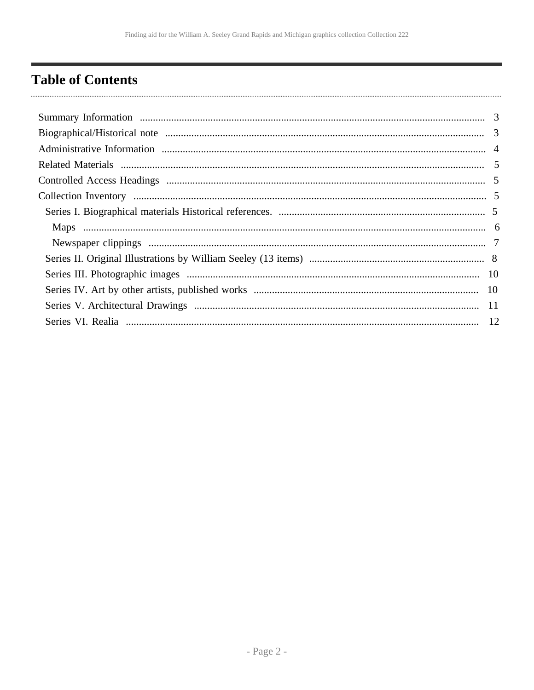# <span id="page-1-0"></span>**Table of Contents**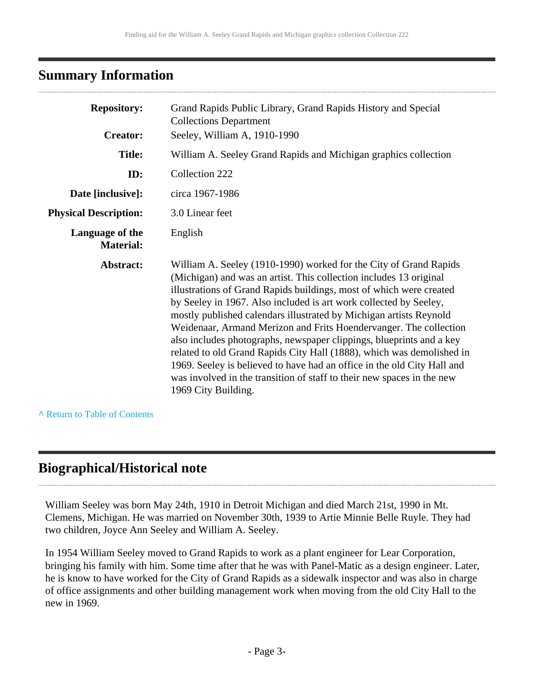# <span id="page-2-0"></span>**Summary Information**

| <b>Repository:</b>                  | Grand Rapids Public Library, Grand Rapids History and Special<br><b>Collections Department</b>                                                                                                                                                                                                                                                                                                                                                                                                                                                                                                                                                                                                                                                              |
|-------------------------------------|-------------------------------------------------------------------------------------------------------------------------------------------------------------------------------------------------------------------------------------------------------------------------------------------------------------------------------------------------------------------------------------------------------------------------------------------------------------------------------------------------------------------------------------------------------------------------------------------------------------------------------------------------------------------------------------------------------------------------------------------------------------|
| <b>Creator:</b>                     | Seeley, William A, 1910-1990                                                                                                                                                                                                                                                                                                                                                                                                                                                                                                                                                                                                                                                                                                                                |
| <b>Title:</b>                       | William A. Seeley Grand Rapids and Michigan graphics collection                                                                                                                                                                                                                                                                                                                                                                                                                                                                                                                                                                                                                                                                                             |
| ID:                                 | Collection 222                                                                                                                                                                                                                                                                                                                                                                                                                                                                                                                                                                                                                                                                                                                                              |
| Date [inclusive]:                   | circa 1967-1986                                                                                                                                                                                                                                                                                                                                                                                                                                                                                                                                                                                                                                                                                                                                             |
| <b>Physical Description:</b>        | 3.0 Linear feet                                                                                                                                                                                                                                                                                                                                                                                                                                                                                                                                                                                                                                                                                                                                             |
| Language of the<br><b>Material:</b> | English                                                                                                                                                                                                                                                                                                                                                                                                                                                                                                                                                                                                                                                                                                                                                     |
| Abstract:                           | William A. Seeley (1910-1990) worked for the City of Grand Rapids<br>(Michigan) and was an artist. This collection includes 13 original<br>illustrations of Grand Rapids buildings, most of which were created<br>by Seeley in 1967. Also included is art work collected by Seeley,<br>mostly published calendars illustrated by Michigan artists Reynold<br>Weidenaar, Armand Merizon and Frits Hoendervanger. The collection<br>also includes photographs, newspaper clippings, blueprints and a key<br>related to old Grand Rapids City Hall (1888), which was demolished in<br>1969. Seeley is believed to have had an office in the old City Hall and<br>was involved in the transition of staff to their new spaces in the new<br>1969 City Building. |

**^** [Return to Table of Contents](#page-1-0)

# <span id="page-2-1"></span>**Biographical/Historical note**

William Seeley was born May 24th, 1910 in Detroit Michigan and died March 21st, 1990 in Mt. Clemens, Michigan. He was married on November 30th, 1939 to Artie Minnie Belle Ruyle. They had two children, Joyce Ann Seeley and William A. Seeley.

In 1954 William Seeley moved to Grand Rapids to work as a plant engineer for Lear Corporation, bringing his family with him. Some time after that he was with Panel-Matic as a design engineer. Later, he is know to have worked for the City of Grand Rapids as a sidewalk inspector and was also in charge of office assignments and other building management work when moving from the old City Hall to the new in 1969.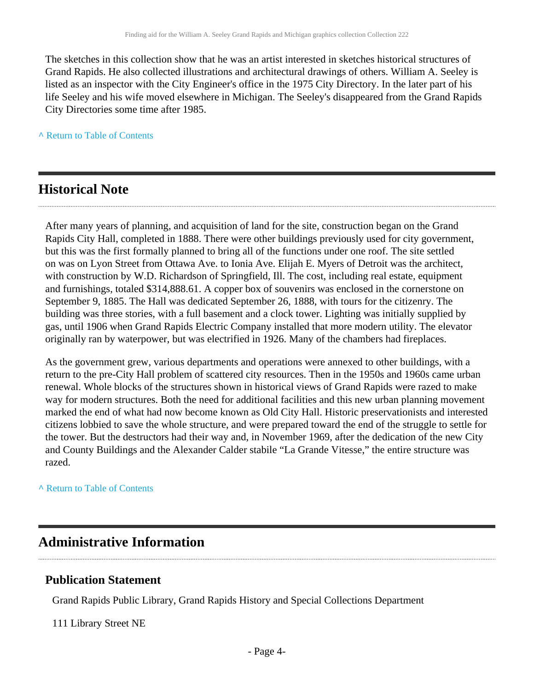The sketches in this collection show that he was an artist interested in sketches historical structures of Grand Rapids. He also collected illustrations and architectural drawings of others. William A. Seeley is listed as an inspector with the City Engineer's office in the 1975 City Directory. In the later part of his life Seeley and his wife moved elsewhere in Michigan. The Seeley's disappeared from the Grand Rapids City Directories some time after 1985.

**^** [Return to Table of Contents](#page-1-0)

# **Historical Note**

After many years of planning, and acquisition of land for the site, construction began on the Grand Rapids City Hall, completed in 1888. There were other buildings previously used for city government, but this was the first formally planned to bring all of the functions under one roof. The site settled on was on Lyon Street from Ottawa Ave. to Ionia Ave. Elijah E. Myers of Detroit was the architect, with construction by W.D. Richardson of Springfield, Ill. The cost, including real estate, equipment and furnishings, totaled \$314,888.61. A copper box of souvenirs was enclosed in the cornerstone on September 9, 1885. The Hall was dedicated September 26, 1888, with tours for the citizenry. The building was three stories, with a full basement and a clock tower. Lighting was initially supplied by gas, until 1906 when Grand Rapids Electric Company installed that more modern utility. The elevator originally ran by waterpower, but was electrified in 1926. Many of the chambers had fireplaces.

As the government grew, various departments and operations were annexed to other buildings, with a return to the pre-City Hall problem of scattered city resources. Then in the 1950s and 1960s came urban renewal. Whole blocks of the structures shown in historical views of Grand Rapids were razed to make way for modern structures. Both the need for additional facilities and this new urban planning movement marked the end of what had now become known as Old City Hall. Historic preservationists and interested citizens lobbied to save the whole structure, and were prepared toward the end of the struggle to settle for the tower. But the destructors had their way and, in November 1969, after the dedication of the new City and County Buildings and the Alexander Calder stabile "La Grande Vitesse," the entire structure was razed.

#### **^** [Return to Table of Contents](#page-1-0)

## <span id="page-3-0"></span>**Administrative Information**

#### **Publication Statement**

Grand Rapids Public Library, Grand Rapids History and Special Collections Department

111 Library Street NE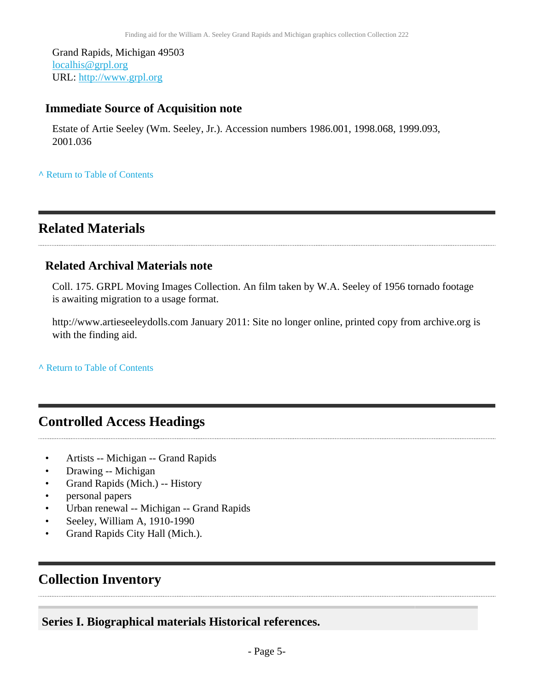Grand Rapids, Michigan 49503 [localhis@grpl.org](mailto:localhis@grpl.org) URL:<http://www.grpl.org>

## **Immediate Source of Acquisition note**

Estate of Artie Seeley (Wm. Seeley, Jr.). Accession numbers 1986.001, 1998.068, 1999.093, 2001.036

**^** [Return to Table of Contents](#page-1-0)

# <span id="page-4-0"></span>**Related Materials**

## **Related Archival Materials note**

Coll. 175. GRPL Moving Images Collection. An film taken by W.A. Seeley of 1956 tornado footage is awaiting migration to a usage format.

http://www.artieseeleydolls.com January 2011: Site no longer online, printed copy from archive.org is with the finding aid.

**^** [Return to Table of Contents](#page-1-0)

# <span id="page-4-1"></span>**Controlled Access Headings**

- Artists -- Michigan -- Grand Rapids
- Drawing -- Michigan
- Grand Rapids (Mich.) -- History
- personal papers
- Urban renewal -- Michigan -- Grand Rapids
- Seeley, William A, 1910-1990
- Grand Rapids City Hall (Mich.).

# <span id="page-4-2"></span>**Collection Inventory**

## <span id="page-4-3"></span>**Series I. Biographical materials Historical references.**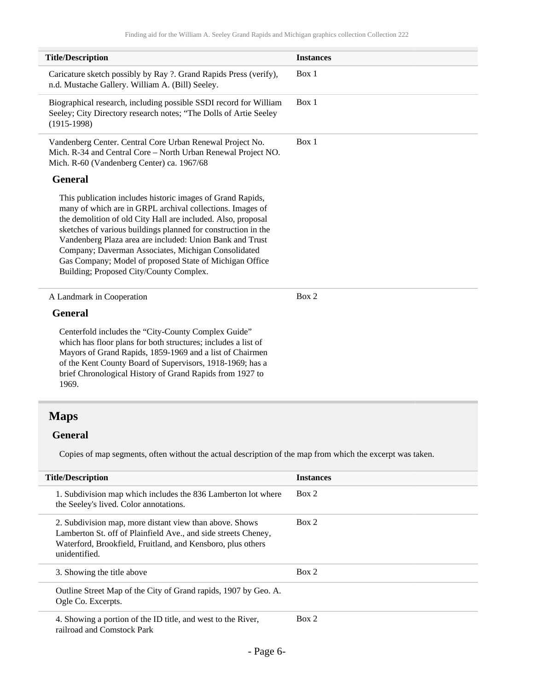| <b>Title/Description</b>                                                                                                                                                                                                                                                                                                                                                                                                                                                          | <b>Instances</b> |
|-----------------------------------------------------------------------------------------------------------------------------------------------------------------------------------------------------------------------------------------------------------------------------------------------------------------------------------------------------------------------------------------------------------------------------------------------------------------------------------|------------------|
| Caricature sketch possibly by Ray ?. Grand Rapids Press (verify),<br>n.d. Mustache Gallery. William A. (Bill) Seeley.                                                                                                                                                                                                                                                                                                                                                             | Box 1            |
| Biographical research, including possible SSDI record for William<br>Seeley; City Directory research notes; "The Dolls of Artie Seeley<br>$(1915-1998)$                                                                                                                                                                                                                                                                                                                           | Box 1            |
| Vandenberg Center. Central Core Urban Renewal Project No.<br>Mich. R-34 and Central Core - North Urban Renewal Project NO.<br>Mich. R-60 (Vandenberg Center) ca. 1967/68                                                                                                                                                                                                                                                                                                          | Box 1            |
| <b>General</b>                                                                                                                                                                                                                                                                                                                                                                                                                                                                    |                  |
| This publication includes historic images of Grand Rapids,<br>many of which are in GRPL archival collections. Images of<br>the demolition of old City Hall are included. Also, proposal<br>sketches of various buildings planned for construction in the<br>Vandenberg Plaza area are included: Union Bank and Trust<br>Company; Daverman Associates, Michigan Consolidated<br>Gas Company; Model of proposed State of Michigan Office<br>Building; Proposed City/County Complex. |                  |
| A Landmark in Cooperation                                                                                                                                                                                                                                                                                                                                                                                                                                                         | Box 2            |
| <b>General</b>                                                                                                                                                                                                                                                                                                                                                                                                                                                                    |                  |
| Centerfold includes the "City-County Complex Guide"<br>which has floor plans for both structures; includes a list of<br>Mayors of Grand Rapids, 1859-1969 and a list of Chairmen<br>of the Kent County Board of Supervisors, 1918-1969; has a<br>brief Chronological History of Grand Rapids from 1927 to<br>1969.                                                                                                                                                                |                  |
| <b>Maps</b>                                                                                                                                                                                                                                                                                                                                                                                                                                                                       |                  |

#### <span id="page-5-0"></span>**General**

Copies of map segments, often without the actual description of the map from which the excerpt was taken.

| <b>Title/Description</b>                                                                                                                                                                                  | <b>Instances</b> |
|-----------------------------------------------------------------------------------------------------------------------------------------------------------------------------------------------------------|------------------|
| 1. Subdivision map which includes the 836 Lamberton lot where<br>the Seeley's lived. Color annotations.                                                                                                   | Box 2            |
| 2. Subdivision map, more distant view than above. Shows<br>Lamberton St. off of Plainfield Ave., and side streets Cheney,<br>Waterford, Brookfield, Fruitland, and Kensboro, plus others<br>unidentified. | Box 2            |
| 3. Showing the title above                                                                                                                                                                                | Box 2            |
| Outline Street Map of the City of Grand rapids, 1907 by Geo. A.<br>Ogle Co. Excerpts.                                                                                                                     |                  |
| 4. Showing a portion of the ID title, and west to the River,<br>railroad and Comstock Park                                                                                                                | Box 2            |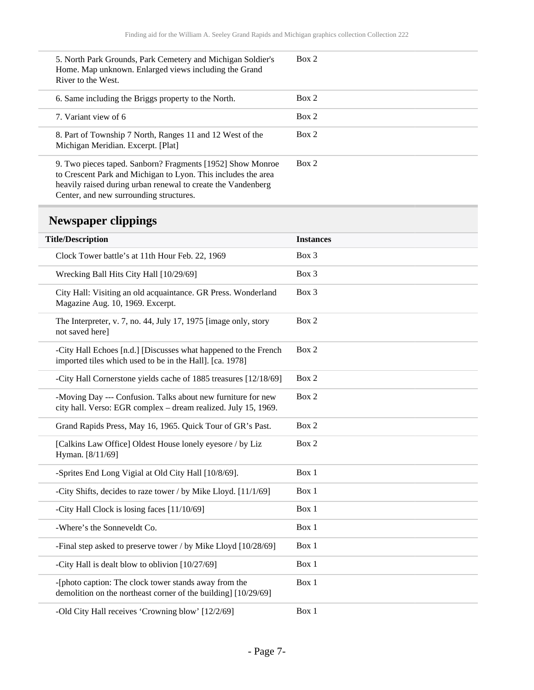| 5. North Park Grounds, Park Cemetery and Michigan Soldier's<br>Home. Map unknown. Enlarged views including the Grand<br>River to the West.                                                                                             | Box 2 |
|----------------------------------------------------------------------------------------------------------------------------------------------------------------------------------------------------------------------------------------|-------|
| 6. Same including the Briggs property to the North.                                                                                                                                                                                    | Box 2 |
| 7. Variant view of 6                                                                                                                                                                                                                   | Box 2 |
| 8. Part of Township 7 North, Ranges 11 and 12 West of the<br>Michigan Meridian. Excerpt. [Plat]                                                                                                                                        | Box 2 |
| 9. Two pieces taped. Sanborn? Fragments [1952] Show Monroe<br>to Crescent Park and Michigan to Lyon. This includes the area<br>heavily raised during urban renewal to create the Vandenberg<br>Center, and new surrounding structures. | Box 2 |

# <span id="page-6-0"></span>**Newspaper clippings**

| <b>Title/Description</b>                                                                                                       | <b>Instances</b> |
|--------------------------------------------------------------------------------------------------------------------------------|------------------|
| Clock Tower battle's at 11th Hour Feb. 22, 1969                                                                                | Box 3            |
| Wrecking Ball Hits City Hall [10/29/69]                                                                                        | Box 3            |
| City Hall: Visiting an old acquaintance. GR Press. Wonderland<br>Magazine Aug. 10, 1969. Excerpt.                              | Box 3            |
| The Interpreter, v. 7, no. 44, July 17, 1975 [image only, story<br>not saved here]                                             | Box 2            |
| -City Hall Echoes [n.d.] [Discusses what happened to the French<br>imported tiles which used to be in the Hall]. [ca. 1978]    | Box 2            |
| -City Hall Cornerstone yields cache of 1885 treasures [12/18/69]                                                               | Box 2            |
| -Moving Day --- Confusion. Talks about new furniture for new<br>city hall. Verso: EGR complex – dream realized. July 15, 1969. | Box 2            |
| Grand Rapids Press, May 16, 1965. Quick Tour of GR's Past.                                                                     | Box 2            |
| [Calkins Law Office] Oldest House lonely eyesore / by Liz<br>Hyman. [8/11/69]                                                  | Box 2            |
| -Sprites End Long Vigial at Old City Hall [10/8/69].                                                                           | Box 1            |
| -City Shifts, decides to raze tower / by Mike Lloyd. [11/1/69]                                                                 | Box 1            |
| -City Hall Clock is losing faces [11/10/69]                                                                                    | Box 1            |
| -Where's the Sonneveldt Co.                                                                                                    | Box 1            |
| -Final step asked to preserve tower / by Mike Lloyd [10/28/69]                                                                 | Box 1            |
| -City Hall is dealt blow to oblivion [10/27/69]                                                                                | Box 1            |
| -[photo caption: The clock tower stands away from the<br>demolition on the northeast corner of the building] [10/29/69]        | Box 1            |
| -Old City Hall receives 'Crowning blow' [12/2/69]                                                                              | Box 1            |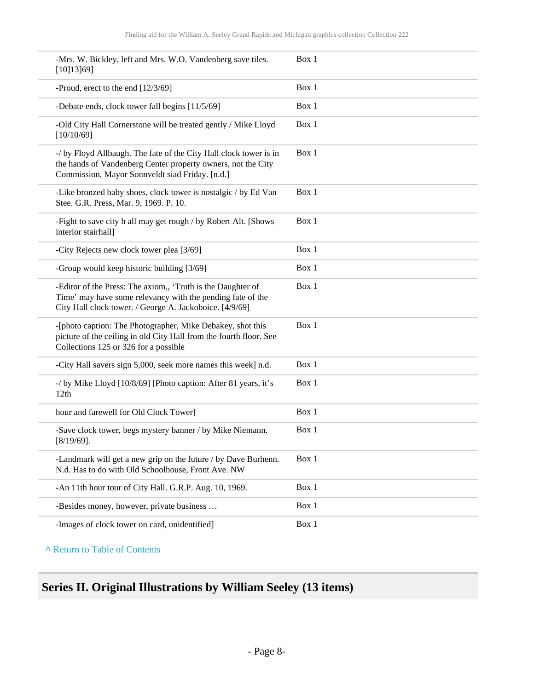| -Mrs. W. Bickley, left and Mrs. W.O. Vandenberg save tiles.<br>[10]13]69]                                                                                                            | Box 1 |
|--------------------------------------------------------------------------------------------------------------------------------------------------------------------------------------|-------|
| -Proud, erect to the end [12/3/69]                                                                                                                                                   | Box 1 |
| -Debate ends, clock tower fall begins [11/5/69]                                                                                                                                      | Box 1 |
| -Old City Hall Cornerstone will be treated gently / Mike Lloyd<br>[10/10/69]                                                                                                         | Box 1 |
| -/ by Floyd Allbaugh. The fate of the City Hall clock tower is in<br>the hands of Vandenberg Center property owners, not the City<br>Commission, Mayor Sonnveldt siad Friday. [n.d.] | Box 1 |
| -Like bronzed baby shoes, clock tower is nostalgic / by Ed Van<br>Stee. G.R. Press, Mar. 9, 1969. P. 10.                                                                             | Box 1 |
| -Fight to save city h all may get rough / by Robert Alt. [Shows<br>interior stairhall]                                                                                               | Box 1 |
| -City Rejects new clock tower plea [3/69]                                                                                                                                            | Box 1 |
| -Group would keep historic building [3/69]                                                                                                                                           | Box 1 |
| -Editor of the Press: The axiom,, 'Truth is the Daughter of<br>Time' may have some relevancy with the pending fate of the<br>City Hall clock tower. / George A. Jackoboice. [4/9/69] | Box 1 |
| -[photo caption: The Photographer, Mike Debakey, shot this<br>picture of the ceiling in old City Hall from the fourth floor. See<br>Collections 125 or 326 for a possible            | Box 1 |
| -City Hall savers sign 5,000, seek more names this week] n.d.                                                                                                                        | Box 1 |
| -/ by Mike Lloyd [10/8/69] [Photo caption: After 81 years, it's<br>12th                                                                                                              | Box 1 |
| hour and farewell for Old Clock Tower]                                                                                                                                               | Box 1 |
| -Save clock tower, begs mystery banner / by Mike Niemann.<br>$[8/19/69]$ .                                                                                                           | Box 1 |
| -Landmark will get a new grip on the future / by Dave Burhenn.<br>N.d. Has to do with Old Schoolhouse, Front Ave. NW                                                                 | Box 1 |
| -An 11th hour tour of City Hall. G.R.P. Aug. 10, 1969.                                                                                                                               | Box 1 |
| -Besides money, however, private business                                                                                                                                            | Box 1 |
| -Images of clock tower on card, unidentified]                                                                                                                                        | Box 1 |

# <span id="page-7-0"></span>**Series II. Original Illustrations by William Seeley (13 items)**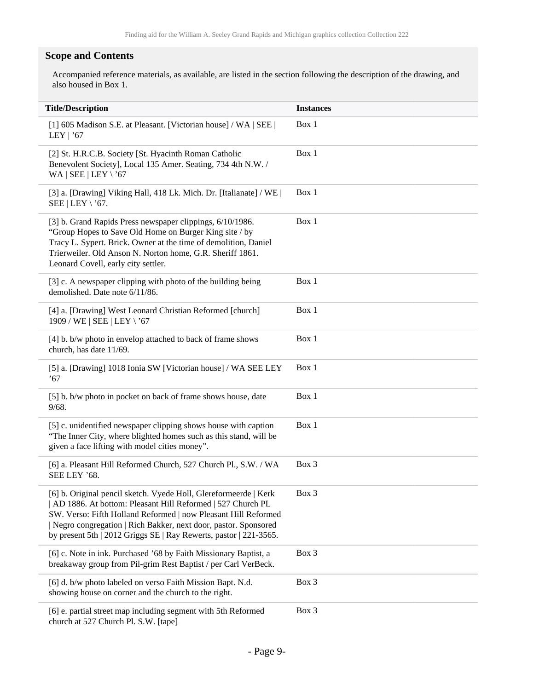#### **Scope and Contents**

Accompanied reference materials, as available, are listed in the section following the description of the drawing, and also housed in Box 1.

| <b>Title/Description</b>                                                                                                                                                                                                                                                                                                                | <b>Instances</b> |
|-----------------------------------------------------------------------------------------------------------------------------------------------------------------------------------------------------------------------------------------------------------------------------------------------------------------------------------------|------------------|
| [1] 605 Madison S.E. at Pleasant. [Victorian house] / WA   SEE  <br>LEY   $'67$                                                                                                                                                                                                                                                         | Box 1            |
| [2] St. H.R.C.B. Society [St. Hyacinth Roman Catholic<br>Benevolent Society], Local 135 Amer. Seating, 734 4th N.W. /<br>WA   SEE   LEY \'67                                                                                                                                                                                            | Box 1            |
| [3] a. [Drawing] Viking Hall, 418 Lk. Mich. Dr. [Italianate] / WE  <br>SEE   LEY \'67.                                                                                                                                                                                                                                                  | Box 1            |
| [3] b. Grand Rapids Press newspaper clippings, 6/10/1986.<br>"Group Hopes to Save Old Home on Burger King site / by<br>Tracy L. Sypert. Brick. Owner at the time of demolition, Daniel<br>Trierweiler. Old Anson N. Norton home, G.R. Sheriff 1861.<br>Leonard Covell, early city settler.                                              | Box 1            |
| [3] c. A newspaper clipping with photo of the building being<br>demolished. Date note 6/11/86.                                                                                                                                                                                                                                          | Box 1            |
| [4] a. [Drawing] West Leonard Christian Reformed [church]<br>1909 / WE   SEE   LEY \'67                                                                                                                                                                                                                                                 | Box 1            |
| [4] b. b/w photo in envelop attached to back of frame shows<br>church, has date 11/69.                                                                                                                                                                                                                                                  | Box 1            |
| [5] a. [Drawing] 1018 Ionia SW [Victorian house] / WA SEE LEY<br>.67                                                                                                                                                                                                                                                                    | Box 1            |
| [5] b. b/w photo in pocket on back of frame shows house, date<br>9/68.                                                                                                                                                                                                                                                                  | Box 1            |
| [5] c. unidentified newspaper clipping shows house with caption<br>"The Inner City, where blighted homes such as this stand, will be<br>given a face lifting with model cities money".                                                                                                                                                  | Box 1            |
| [6] a. Pleasant Hill Reformed Church, 527 Church Pl., S.W. / WA<br>SEE LEY '68.                                                                                                                                                                                                                                                         | Box 3            |
| [6] b. Original pencil sketch. Vyede Holl, Glereformeerde   Kerk<br>AD 1886. At bottom: Pleasant Hill Reformed   527 Church PL<br>SW. Verso: Fifth Holland Reformed   now Pleasant Hill Reformed<br>Negro congregation   Rich Bakker, next door, pastor. Sponsored<br>by present 5th   2012 Griggs SE   Ray Rewerts, pastor   221-3565. | Box 3            |
| [6] c. Note in ink. Purchased '68 by Faith Missionary Baptist, a<br>breakaway group from Pil-grim Rest Baptist / per Carl VerBeck.                                                                                                                                                                                                      | Box 3            |
| [6] d. b/w photo labeled on verso Faith Mission Bapt. N.d.<br>showing house on corner and the church to the right.                                                                                                                                                                                                                      | Box 3            |
| [6] e. partial street map including segment with 5th Reformed<br>church at 527 Church Pl. S.W. [tape]                                                                                                                                                                                                                                   | Box 3            |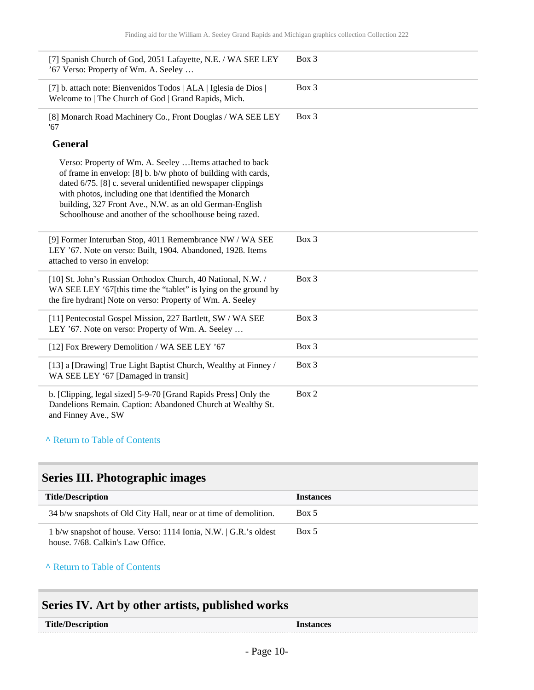| [7] Spanish Church of God, 2051 Lafayette, N.E. / WA SEE LEY<br>'67 Verso: Property of Wm. A. Seeley                                                                                                                                                                                                                                                                     | Box 3 |
|--------------------------------------------------------------------------------------------------------------------------------------------------------------------------------------------------------------------------------------------------------------------------------------------------------------------------------------------------------------------------|-------|
| [7] b. attach note: Bienvenidos Todos   ALA   Iglesia de Dios  <br>Welcome to   The Church of God   Grand Rapids, Mich.                                                                                                                                                                                                                                                  | Box 3 |
| [8] Monarch Road Machinery Co., Front Douglas / WA SEE LEY<br>'67                                                                                                                                                                                                                                                                                                        | Box 3 |
| <b>General</b>                                                                                                                                                                                                                                                                                                                                                           |       |
| Verso: Property of Wm. A. Seeley  Items attached to back<br>of frame in envelop: [8] b. b/w photo of building with cards,<br>dated 6/75. [8] c. several unidentified newspaper clippings<br>with photos, including one that identified the Monarch<br>building, 327 Front Ave., N.W. as an old German-English<br>Schoolhouse and another of the schoolhouse being razed. |       |
| [9] Former Interurban Stop, 4011 Remembrance NW / WA SEE<br>LEY '67. Note on verso: Built, 1904. Abandoned, 1928. Items<br>attached to verso in envelop:                                                                                                                                                                                                                 | Box 3 |
| [10] St. John's Russian Orthodox Church, 40 National, N.W. /<br>WA SEE LEY '67[this time the "tablet" is lying on the ground by<br>the fire hydrant] Note on verso: Property of Wm. A. Seeley                                                                                                                                                                            | Box 3 |
| [11] Pentecostal Gospel Mission, 227 Bartlett, SW / WA SEE<br>LEY '67. Note on verso: Property of Wm. A. Seeley                                                                                                                                                                                                                                                          | Box 3 |
| [12] Fox Brewery Demolition / WA SEE LEY '67                                                                                                                                                                                                                                                                                                                             | Box 3 |
| [13] a [Drawing] True Light Baptist Church, Wealthy at Finney /<br>WA SEE LEY '67 [Damaged in transit]                                                                                                                                                                                                                                                                   | Box 3 |
| b. [Clipping, legal sized] 5-9-70 [Grand Rapids Press] Only the<br>Dandelions Remain. Caption: Abandoned Church at Wealthy St.<br>and Finney Ave., SW                                                                                                                                                                                                                    | Box 2 |

# <span id="page-9-0"></span>**Series III. Photographic images**

| <b>Title/Description</b>                                                                              | <i><u><b>Instances</b></u></i> |
|-------------------------------------------------------------------------------------------------------|--------------------------------|
| 34 b/w snapshots of Old City Hall, near or at time of demolition.                                     | Box 5                          |
| 1 b/w snapshot of house. Verso: 1114 Ionia, N.W.   G.R.'s oldest<br>house. 7/68. Calkin's Law Office. | Box 5                          |

**^** [Return to Table of Contents](#page-1-0)

# <span id="page-9-1"></span>**Series IV. Art by other artists, published works**

| <b>Title/Description</b> | <i><u><b>Instances</b></u></i> |
|--------------------------|--------------------------------|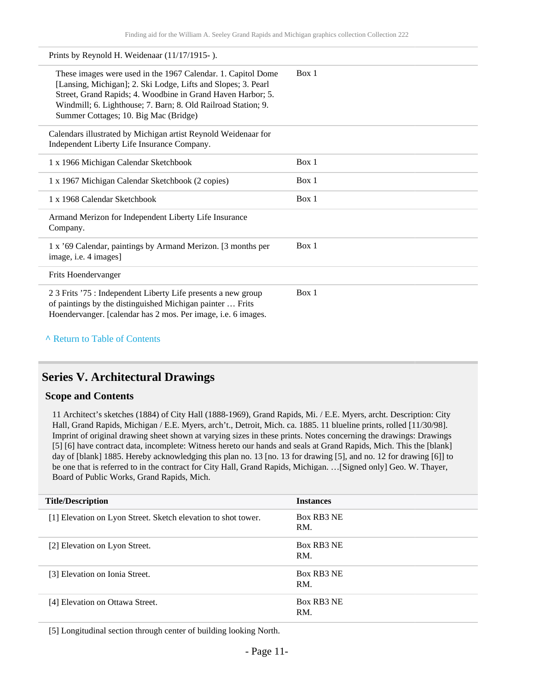| Prints by Reynold H. Weidenaar (11/17/1915-).                                                                                                                                                                                                                                                          |       |
|--------------------------------------------------------------------------------------------------------------------------------------------------------------------------------------------------------------------------------------------------------------------------------------------------------|-------|
| These images were used in the 1967 Calendar. 1. Capitol Dome<br>[Lansing, Michigan]; 2. Ski Lodge, Lifts and Slopes; 3. Pearl<br>Street, Grand Rapids; 4. Woodbine in Grand Haven Harbor; 5.<br>Windmill; 6. Lighthouse; 7. Barn; 8. Old Railroad Station; 9.<br>Summer Cottages; 10. Big Mac (Bridge) | Box 1 |
| Calendars illustrated by Michigan artist Reynold Weidenaar for<br>Independent Liberty Life Insurance Company.                                                                                                                                                                                          |       |
| 1 x 1966 Michigan Calendar Sketchbook                                                                                                                                                                                                                                                                  | Box 1 |
| 1 x 1967 Michigan Calendar Sketchbook (2 copies)                                                                                                                                                                                                                                                       | Box 1 |
| 1 x 1968 Calendar Sketchbook                                                                                                                                                                                                                                                                           | Box 1 |
| Armand Merizon for Independent Liberty Life Insurance<br>Company.                                                                                                                                                                                                                                      |       |
| 1 x '69 Calendar, paintings by Armand Merizon. [3 months per<br>image, i.e. 4 images]                                                                                                                                                                                                                  | Box 1 |
| Frits Hoendervanger                                                                                                                                                                                                                                                                                    |       |
| 2.3 Frits '75 : Independent Liberty Life presents a new group<br>of paintings by the distinguished Michigan painter  Frits<br>Hoendervanger. [calendar has 2 mos. Per image, i.e. 6 images.                                                                                                            | Box 1 |

#### <span id="page-10-0"></span>**Series V. Architectural Drawings**

#### **Scope and Contents**

11 Architect's sketches (1884) of City Hall (1888-1969), Grand Rapids, Mi. / E.E. Myers, archt. Description: City Hall, Grand Rapids, Michigan / E.E. Myers, arch't., Detroit, Mich. ca. 1885. 11 blueline prints, rolled [11/30/98]. Imprint of original drawing sheet shown at varying sizes in these prints. Notes concerning the drawings: Drawings [5] [6] have contract data, incomplete: Witness hereto our hands and seals at Grand Rapids, Mich. This the [blank] day of [blank] 1885. Hereby acknowledging this plan no. 13 [no. 13 for drawing [5], and no. 12 for drawing [6]] to be one that is referred to in the contract for City Hall, Grand Rapids, Michigan. …[Signed only] Geo. W. Thayer, Board of Public Works, Grand Rapids, Mich.

| <b>Title/Description</b>                                      | <b>Instances</b>  |
|---------------------------------------------------------------|-------------------|
| [1] Elevation on Lyon Street. Sketch elevation to shot tower. | Box RB3 NE<br>RM. |
| [2] Elevation on Lyon Street.                                 | Box RB3 NE<br>RM. |
| [3] Elevation on Ionia Street.                                | Box RB3 NE<br>RM. |
| [4] Elevation on Ottawa Street.                               | Box RB3 NE<br>RM. |

[5] Longitudinal section through center of building looking North.